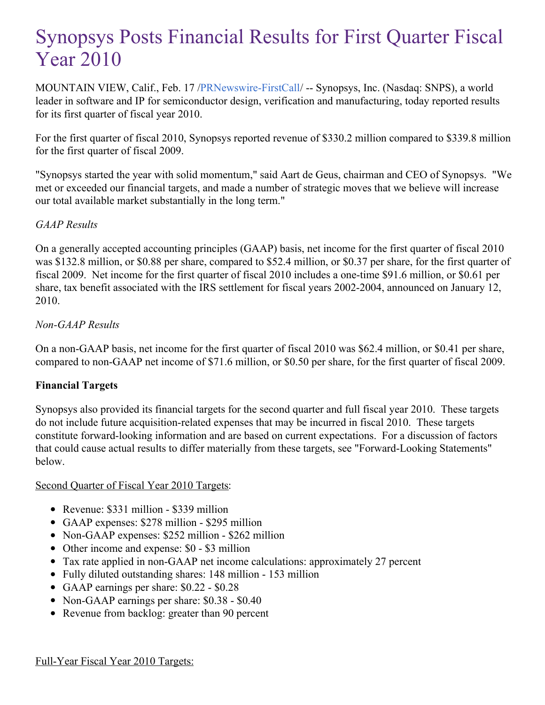# Synopsys Posts Financial Results for First Quarter Fiscal Year 2010

MOUNTAIN VIEW, Calif., Feb. 17 [/PRNewswire-FirstCall](http://www.prnewswire.com/)/ -- Synopsys, Inc. (Nasdaq: SNPS), a world leader in software and IP for semiconductor design, verification and manufacturing, today reported results for its first quarter of fiscal year 2010.

For the first quarter of fiscal 2010, Synopsys reported revenue of \$330.2 million compared to \$339.8 million for the first quarter of fiscal 2009.

"Synopsys started the year with solid momentum," said Aart de Geus, chairman and CEO of Synopsys. "We met or exceeded our financial targets, and made a number of strategic moves that we believe will increase our total available market substantially in the long term."

## *GAAP Results*

On a generally accepted accounting principles (GAAP) basis, net income for the first quarter of fiscal 2010 was \$132.8 million, or \$0.88 per share, compared to \$52.4 million, or \$0.37 per share, for the first quarter of fiscal 2009. Net income for the first quarter of fiscal 2010 includes a one-time \$91.6 million, or \$0.61 per share, tax benefit associated with the IRS settlement for fiscal years 2002-2004, announced on January 12, 2010.

## *Non-GAAP Results*

On a non-GAAP basis, net income for the first quarter of fiscal 2010 was \$62.4 million, or \$0.41 per share, compared to non-GAAP net income of \$71.6 million, or \$0.50 per share, for the first quarter of fiscal 2009.

## **Financial Targets**

Synopsys also provided its financial targets for the second quarter and full fiscal year 2010. These targets do not include future acquisition-related expenses that may be incurred in fiscal 2010. These targets constitute forward-looking information and are based on current expectations. For a discussion of factors that could cause actual results to differ materially from these targets, see "Forward-Looking Statements" below.

## Second Quarter of Fiscal Year 2010 Targets:

- Revenue: \$331 million \$339 million
- GAAP expenses: \$278 million \$295 million
- Non-GAAP expenses: \$252 million \$262 million
- Other income and expense: \$0 \$3 million
- Tax rate applied in non-GAAP net income calculations: approximately 27 percent
- Fully diluted outstanding shares: 148 million 153 million
- GAAP earnings per share: \$0.22 \$0.28
- Non-GAAP earnings per share: \$0.38 \$0.40
- Revenue from backlog: greater than 90 percent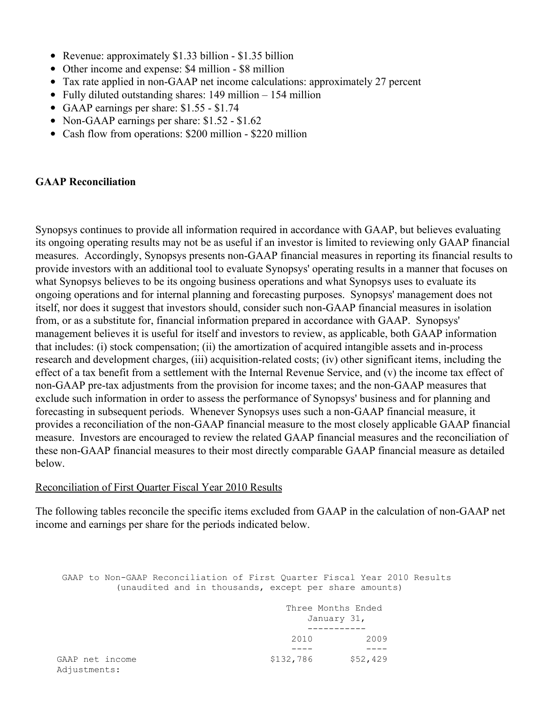- Revenue: approximately \$1.33 billion \$1.35 billion
- Other income and expense: \$4 million \$8 million
- Tax rate applied in non-GAAP net income calculations: approximately 27 percent
- Fully diluted outstanding shares: 149 million 154 million
- GAAP earnings per share: \$1.55 \$1.74
- Non-GAAP earnings per share: \$1.52 \$1.62
- Cash flow from operations: \$200 million \$220 million

#### **GAAP Reconciliation**

Synopsys continues to provide all information required in accordance with GAAP, but believes evaluating its ongoing operating results may not be as useful if an investor is limited to reviewing only GAAP financial measures. Accordingly, Synopsys presents non-GAAP financial measures in reporting its financial results to provide investors with an additional tool to evaluate Synopsys' operating results in a manner that focuses on what Synopsys believes to be its ongoing business operations and what Synopsys uses to evaluate its ongoing operations and for internal planning and forecasting purposes. Synopsys' management does not itself, nor does it suggest that investors should, consider such non-GAAP financial measures in isolation from, or as a substitute for, financial information prepared in accordance with GAAP. Synopsys' management believes it is useful for itself and investors to review, as applicable, both GAAP information that includes: (i) stock compensation; (ii) the amortization of acquired intangible assets and in-process research and development charges, (iii) acquisition-related costs; (iv) other significant items, including the effect of a tax benefit from a settlement with the Internal Revenue Service, and (v) the income tax effect of non-GAAP pre-tax adjustments from the provision for income taxes; and the non-GAAP measures that exclude such information in order to assess the performance of Synopsys' business and for planning and forecasting in subsequent periods. Whenever Synopsys uses such a non-GAAP financial measure, it provides a reconciliation of the non-GAAP financial measure to the most closely applicable GAAP financial measure. Investors are encouraged to review the related GAAP financial measures and the reconciliation of these non-GAAP financial measures to their most directly comparable GAAP financial measure as detailed below.

#### Reconciliation of First Quarter Fiscal Year 2010 Results

The following tables reconcile the specific items excluded from GAAP in the calculation of non-GAAP net income and earnings per share for the periods indicated below.

GAAP to Non-GAAP Reconciliation of First Quarter Fiscal Year 2010 Results (unaudited and in thousands, except per share amounts)

|                                 | Three Months Ended<br>January 31, |          |
|---------------------------------|-----------------------------------|----------|
|                                 |                                   |          |
|                                 |                                   |          |
|                                 | 2010                              | 2009     |
|                                 |                                   |          |
| GAAP net income<br>Adjustments: | \$132,786                         | \$52,429 |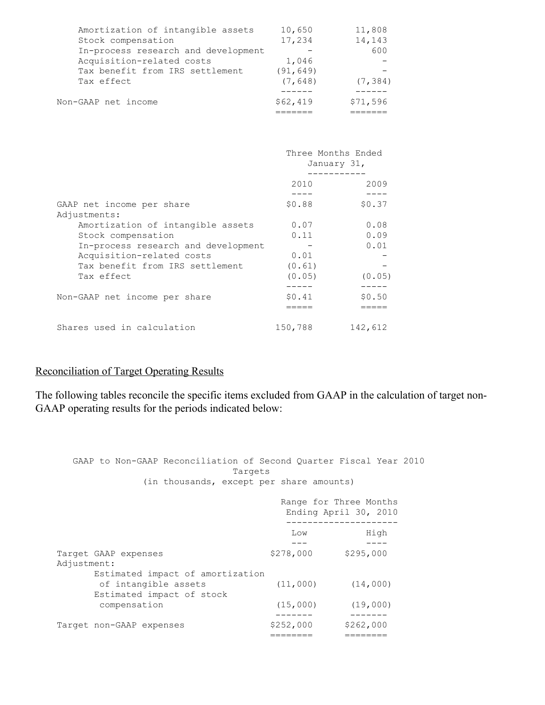| Non-GAAP net income                 | \$62,419  | \$71,596 |
|-------------------------------------|-----------|----------|
|                                     |           |          |
| Tax effect                          | (7, 648)  | (7, 384) |
| Tax benefit from IRS settlement     | (91, 649) |          |
| Acquisition-related costs           | 1,046     |          |
| In-process research and development |           | 600      |
| Stock compensation                  | 17,234    | 14,143   |
| Amortization of intangible assets   | 10,650    | 11,808   |
|                                     |           |          |

|                                     | Three Months Ended<br>January 31, |         |
|-------------------------------------|-----------------------------------|---------|
|                                     | 2010                              | 2009    |
|                                     |                                   |         |
| GAAP net income per share           | \$0.88                            | \$0.37  |
| Adjustments:                        |                                   |         |
| Amortization of intangible assets   | 0.07                              | 0.08    |
| Stock compensation                  | 0.11                              | 0.09    |
| In-process research and development |                                   | 0.01    |
| Acquisition-related costs           | 0.01                              |         |
| Tax benefit from IRS settlement     | (0.61)                            |         |
| Tax effect                          | (0.05)                            | (0.05)  |
|                                     | -----                             |         |
| Non-GAAP net income per share       | \$0.41                            | \$0.50  |
|                                     |                                   |         |
| Shares used in calculation          | 150,788                           | 142,612 |

#### Reconciliation of Target Operating Results

The following tables reconcile the specific items excluded from GAAP in the calculation of target non-GAAP operating results for the periods indicated below:

GAAP to Non-GAAP Reconciliation of Second Quarter Fiscal Year 2010 Targets (in thousands, except per share amounts) Range for Three Months Ending April 30, 2010 --------------------- Low High --- ---- Target GAAP expenses  $$278,000$  \$295,000 Adjustment: Estimated impact of amortization<br>
of intangible assets
(11,000)
(14,000) of intangible assets Estimated impact of stock compensation (15,000) (19,000) ------- ------- Target non-GAAP expenses ======== ========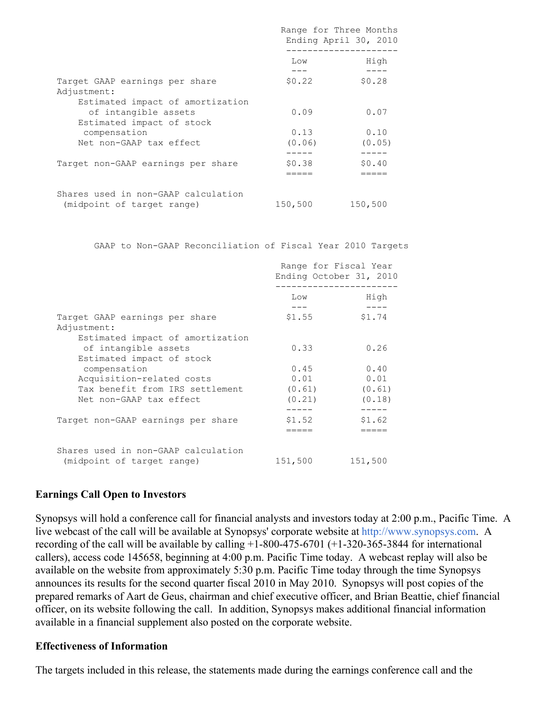|                                                                                       | Range for Three Months<br>Ending April 30, 2010 |                |
|---------------------------------------------------------------------------------------|-------------------------------------------------|----------------|
|                                                                                       | Low                                             | High<br>----   |
| Target GAAP earnings per share<br>Adjustment:                                         | \$0.22                                          | \$0.28         |
| Estimated impact of amortization<br>of intangible assets<br>Estimated impact of stock | 0.09                                            | 0.07           |
| compensation<br>Net non-GAAP tax effect                                               | 0.13<br>(0.06)                                  | 0.10<br>(0.05) |
|                                                                                       |                                                 |                |
| Target non-GAAP earnings per share                                                    | \$0.38                                          | \$0.40         |
| Shares used in non-GAAP calculation<br>(midpoint of target range)                     | 150,500                                         | 150,500        |

GAAP to Non-GAAP Reconciliation of Fiscal Year 2010 Targets

|                                                                                   | Range for Fiscal Year<br>Ending October 31, 2010 |         |
|-----------------------------------------------------------------------------------|--------------------------------------------------|---------|
|                                                                                   | Low                                              | High    |
| Target GAAP earnings per share<br>Adjustment:<br>Estimated impact of amortization | \$1.55                                           | \$1.74  |
| of intangible assets<br>Estimated impact of stock                                 | 0.33                                             | 0.26    |
| compensation                                                                      | 0.45                                             | 0.40    |
| Acquisition-related costs                                                         | 0.01                                             | 0.01    |
| Tax benefit from IRS settlement                                                   | (0.61)                                           | (0.61)  |
| Net non-GAAP tax effect                                                           | (0.21)                                           | (0.18)  |
| Target non-GAAP earnings per share                                                | \$1.52                                           | \$1.62  |
| Shares used in non-GAAP calculation                                               |                                                  |         |
| (midpoint of target range)                                                        | 151,500                                          | 151,500 |

#### **Earnings Call Open to Investors**

Synopsys will hold a conference call for financial analysts and investors today at 2:00 p.m., Pacific Time. A live webcast of the call will be available at Synopsys' corporate website at <http://www.synopsys.com>. A recording of the call will be available by calling +1-800-475-6701 (+1-320-365-3844 for international callers), access code 145658, beginning at 4:00 p.m. Pacific Time today. A webcast replay will also be available on the website from approximately 5:30 p.m. Pacific Time today through the time Synopsys announces its results for the second quarter fiscal 2010 in May 2010. Synopsys will post copies of the prepared remarks of Aart de Geus, chairman and chief executive officer, and Brian Beattie, chief financial officer, on its website following the call. In addition, Synopsys makes additional financial information available in a financial supplement also posted on the corporate website.

#### **Effectiveness of Information**

The targets included in this release, the statements made during the earnings conference call and the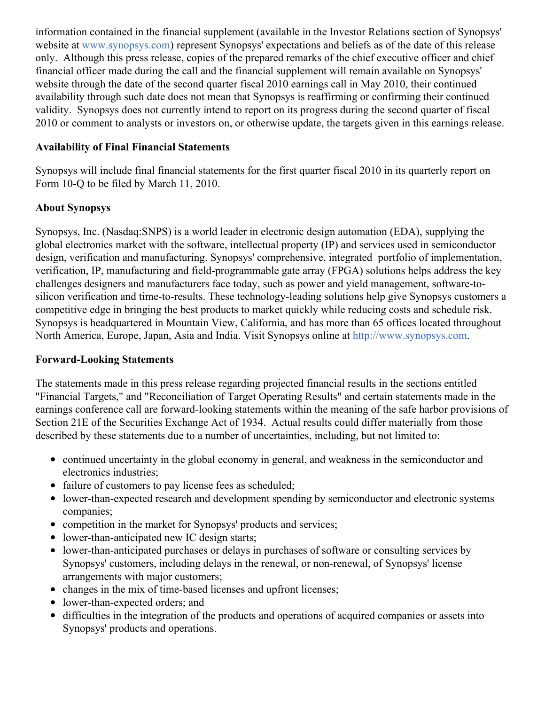information contained in the financial supplement (available in the Investor Relations section of Synopsys' website at [www.synopsys.com](http://www.synopsys.com/)) represent Synopsys' expectations and beliefs as of the date of this release only. Although this press release, copies of the prepared remarks of the chief executive officer and chief financial officer made during the call and the financial supplement will remain available on Synopsys' website through the date of the second quarter fiscal 2010 earnings call in May 2010, their continued availability through such date does not mean that Synopsys is reaffirming or confirming their continued validity. Synopsys does not currently intend to report on its progress during the second quarter of fiscal 2010 or comment to analysts or investors on, or otherwise update, the targets given in this earnings release.

## **Availability of Final Financial Statements**

Synopsys will include final financial statements for the first quarter fiscal 2010 in its quarterly report on Form 10-Q to be filed by March 11, 2010.

## **About Synopsys**

Synopsys, Inc. (Nasdaq:SNPS) is a world leader in electronic design automation (EDA), supplying the global electronics market with the software, intellectual property (IP) and services used in semiconductor design, verification and manufacturing. Synopsys' comprehensive, integrated portfolio of implementation, verification, IP, manufacturing and field-programmable gate array (FPGA) solutions helps address the key challenges designers and manufacturers face today, such as power and yield management, software-tosilicon verification and time-to-results. These technology-leading solutions help give Synopsys customers a competitive edge in bringing the best products to market quickly while reducing costs and schedule risk. Synopsys is headquartered in Mountain View, California, and has more than 65 offices located throughout North America, Europe, Japan, Asia and India. Visit Synopsys online at <http://www.synopsys.com>.

### **Forward-Looking Statements**

The statements made in this press release regarding projected financial results in the sections entitled "Financial Targets," and "Reconciliation of Target Operating Results" and certain statements made in the earnings conference call are forward-looking statements within the meaning of the safe harbor provisions of Section 21E of the Securities Exchange Act of 1934. Actual results could differ materially from those described by these statements due to a number of uncertainties, including, but not limited to:

- continued uncertainty in the global economy in general, and weakness in the semiconductor and electronics industries;
- failure of customers to pay license fees as scheduled;
- lower-than-expected research and development spending by semiconductor and electronic systems companies;
- competition in the market for Synopsys' products and services;
- lower-than-anticipated new IC design starts;
- lower-than-anticipated purchases or delays in purchases of software or consulting services by Synopsys' customers, including delays in the renewal, or non-renewal, of Synopsys' license arrangements with major customers;
- changes in the mix of time-based licenses and upfront licenses;
- lower-than-expected orders; and
- difficulties in the integration of the products and operations of acquired companies or assets into Synopsys' products and operations.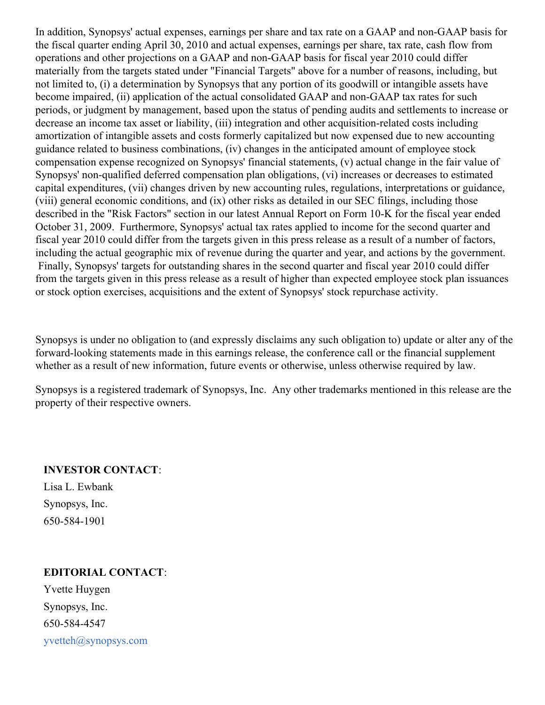In addition, Synopsys' actual expenses, earnings per share and tax rate on a GAAP and non-GAAP basis for the fiscal quarter ending April 30, 2010 and actual expenses, earnings per share, tax rate, cash flow from operations and other projections on a GAAP and non-GAAP basis for fiscal year 2010 could differ materially from the targets stated under "Financial Targets" above for a number of reasons, including, but not limited to, (i) a determination by Synopsys that any portion of its goodwill or intangible assets have become impaired, (ii) application of the actual consolidated GAAP and non-GAAP tax rates for such periods, or judgment by management, based upon the status of pending audits and settlements to increase or decrease an income tax asset or liability, (iii) integration and other acquisition-related costs including amortization of intangible assets and costs formerly capitalized but now expensed due to new accounting guidance related to business combinations, (iv) changes in the anticipated amount of employee stock compensation expense recognized on Synopsys' financial statements, (v) actual change in the fair value of Synopsys' non-qualified deferred compensation plan obligations, (vi) increases or decreases to estimated capital expenditures, (vii) changes driven by new accounting rules, regulations, interpretations or guidance, (viii) general economic conditions, and (ix) other risks as detailed in our SEC filings, including those described in the "Risk Factors" section in our latest Annual Report on Form 10-K for the fiscal year ended October 31, 2009. Furthermore, Synopsys' actual tax rates applied to income for the second quarter and fiscal year 2010 could differ from the targets given in this press release as a result of a number of factors, including the actual geographic mix of revenue during the quarter and year, and actions by the government. Finally, Synopsys' targets for outstanding shares in the second quarter and fiscal year 2010 could differ from the targets given in this press release as a result of higher than expected employee stock plan issuances or stock option exercises, acquisitions and the extent of Synopsys' stock repurchase activity.

Synopsys is under no obligation to (and expressly disclaims any such obligation to) update or alter any of the forward-looking statements made in this earnings release, the conference call or the financial supplement whether as a result of new information, future events or otherwise, unless otherwise required by law.

Synopsys is a registered trademark of Synopsys, Inc. Any other trademarks mentioned in this release are the property of their respective owners.

### **INVESTOR CONTACT**:

Lisa L. Ewbank Synopsys, Inc. 650-584-1901

## **EDITORIAL CONTACT**:

Yvette Huygen Synopsys, Inc. 650-584-4547 [yvetteh@synopsys.com](mailto:yvetteh@synopsys.com)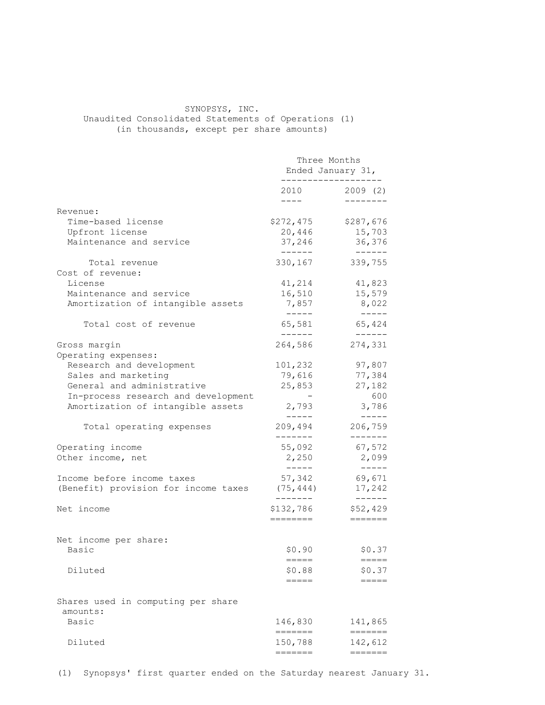## SYNOPSYS, INC. Unaudited Consolidated Statements of Operations (1)

(in thousands, except per share amounts)

|                                                | Three Months<br>Ended January 31,<br>---------------- |                                     |
|------------------------------------------------|-------------------------------------------------------|-------------------------------------|
|                                                | 2010<br>$- - - -$                                     | 2009(2)                             |
| Revenue:                                       |                                                       |                                     |
| Time-based license                             | \$272,475                                             | \$287,676                           |
| Upfront license                                | 20,446                                                | 15,703                              |
| Maintenance and service                        | 37,246<br>-------                                     | 36,376                              |
| Total revenue                                  | 330,167                                               | $------$<br>339,755                 |
| Cost of revenue:                               |                                                       |                                     |
| License                                        | 41,214                                                | 41,823                              |
| Maintenance and service                        | 16,510                                                | 15,579                              |
| Amortization of intangible assets              | 7,857                                                 | 8,022                               |
|                                                | $------$                                              | $- - - - - -$                       |
| Total cost of revenue                          | 65,581<br>-------                                     | 65,424<br>$\qquad \qquad - - - - -$ |
| Gross margin                                   | 264,586                                               | 274,331                             |
| Operating expenses:                            |                                                       |                                     |
| Research and development                       | 101,232                                               | 97,807                              |
| Sales and marketing                            | 79,616                                                | 77,384                              |
| General and administrative                     | 25,853                                                | 27,182                              |
| In-process research and development            |                                                       | 600                                 |
| Amortization of intangible assets              | 2,793                                                 | 3,786                               |
|                                                | -----                                                 | $- - - - -$                         |
| Total operating expenses                       | 209,494<br>-------                                    | 206,759<br>-------                  |
| Operating income                               | 55,092                                                | 67,572                              |
| Other income, net                              | 2,250                                                 | 2,099                               |
|                                                | $- - - - -$                                           | $\qquad \qquad - - - - -$           |
| Income before income taxes                     | 57,342                                                | 69,671                              |
| (Benefit) provision for income taxes           | (75, 444)                                             | 17,242                              |
| Net income                                     | -------<br>\$132,786                                  | $------$<br>\$52,429                |
|                                                | ========                                              | $=$ $=$ $=$ $=$ $=$ $=$             |
|                                                |                                                       |                                     |
| Net income per share:                          |                                                       |                                     |
| Basic                                          | \$0.90<br>=====                                       | \$0.37<br>=====                     |
| Diluted                                        | \$0.88                                                | \$0.37                              |
|                                                | =====                                                 |                                     |
|                                                |                                                       |                                     |
| Shares used in computing per share<br>amounts: |                                                       |                                     |
| Basic                                          | 146,830                                               | 141,865                             |
|                                                | =======                                               | =======                             |
| Diluted                                        | 150,788                                               | 142,612                             |
|                                                | =======                                               | $=$ $=$ $=$ $=$                     |

(1) Synopsys' first quarter ended on the Saturday nearest January 31.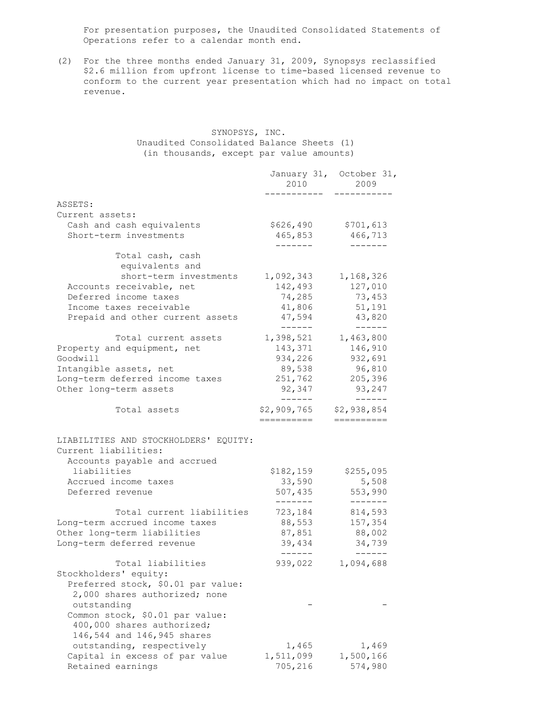For presentation purposes, the Unaudited Consolidated Statements of Operations refer to a calendar month end.

(2) For the three months ended January 31, 2009, Synopsys reclassified \$2.6 million from upfront license to time-based licensed revenue to conform to the current year presentation which had no impact on total revenue.

#### SYNOPSYS, INC. Unaudited Consolidated Balance Sheets (1) (in thousands, except par value amounts)

|                                                               | 2010 00                 | January 31, October 31,<br>2009 |
|---------------------------------------------------------------|-------------------------|---------------------------------|
| ASSETS:                                                       |                         |                                 |
| Current assets:                                               |                         |                                 |
| Cash and cash equivalents                                     | \$626,490               | \$701,613                       |
| Short-term investments                                        | 465,853<br>-------      | 466,713<br>-------              |
| Total cash, cash<br>equivalents and                           |                         |                                 |
| short-term investments                                        | 1,092,343               | 1,168,326                       |
| Accounts receivable, net                                      | 142,493                 | 127,010                         |
| Deferred income taxes                                         | 74,285                  | 73,453                          |
| Income taxes receivable                                       | 41,806                  | 51,191                          |
| Prepaid and other current assets                              | 47,594<br>$- - - - - -$ | 43,820<br>$- - - - - -$         |
| Total current assets                                          | 1,398,521               | 1,463,800                       |
| Property and equipment, net                                   | 143,371                 | 146,910                         |
| Goodwill                                                      | 934,226                 | 932,691                         |
| Intangible assets, net                                        | 89,538                  | 96,810                          |
| Long-term deferred income taxes                               | 251,762                 | 205,396                         |
| Other long-term assets                                        | 92,347<br>-------       | 93,247<br>$------$              |
| Total assets                                                  | \$2,909,765             | \$2,938,854                     |
|                                                               | ==========              | ==========                      |
| LIABILITIES AND STOCKHOLDERS' EQUITY:<br>Current liabilities: |                         |                                 |
| Accounts payable and accrued                                  |                         |                                 |
| liabilities                                                   | \$182,159               | \$255,095                       |
| Accrued income taxes                                          | 33,590                  | 5,508                           |
| Deferred revenue                                              | 507,435<br>-------      | 553,990<br>-------              |
| Total current liabilities                                     | 723,184                 | 814,593                         |
| Long-term accrued income taxes                                | 88,553                  | 157,354                         |
| Other long-term liabilities                                   | 87,851                  | 88,002                          |
| Long-term deferred revenue                                    | 39,434<br>-------       | 34,739<br>$- - - - - -$         |
| Total liabilities                                             | 939,022                 | 1,094,688                       |
| Stockholders' equity:                                         |                         |                                 |
| Preferred stock, \$0.01 par value:                            |                         |                                 |
| 2,000 shares authorized; none                                 |                         |                                 |
| outstanding                                                   |                         |                                 |
| Common stock, \$0.01 par value:                               |                         |                                 |
| 400,000 shares authorized;                                    |                         |                                 |
| 146,544 and 146,945 shares                                    |                         |                                 |
| outstanding, respectively                                     | 1,465                   | 1,469                           |
| Capital in excess of par value                                | 1,511,099               | 1,500,166                       |
| Retained earnings                                             | 705,216                 | 574,980                         |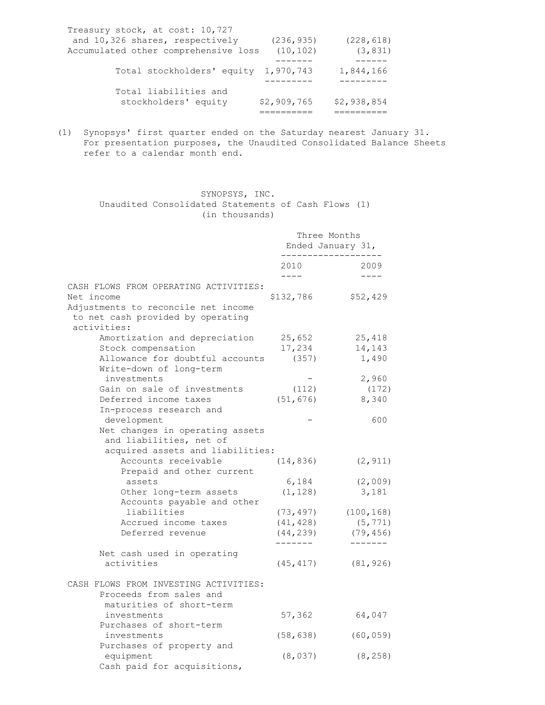| and 10,326 shares, respectively<br>(236, 935)     |             |
|---------------------------------------------------|-------------|
|                                                   | (228, 618)  |
| Accumulated other comprehensive loss<br>(10, 102) | (3, 831)    |
|                                                   |             |
| Total stockholders' equity 1,970,743              | 1,844,166   |
|                                                   |             |
| Total liabilities and                             |             |
| \$2,909,765<br>stockholders' equity               | \$2,938,854 |
|                                                   |             |

(1) Synopsys' first quarter ended on the Saturday nearest January 31. For presentation purposes, the Unaudited Consolidated Balance Sheets refer to a calendar month end.

> SYNOPSYS, INC. Unaudited Consolidated Statements of Cash Flows (1)

| (in thousands)                                       |                                   |                   |
|------------------------------------------------------|-----------------------------------|-------------------|
|                                                      | Three Months<br>Ended January 31, |                   |
|                                                      | 2010<br>$- - - -$                 | 2009<br>$- - - -$ |
| CASH FLOWS FROM OPERATING ACTIVITIES:                |                                   |                   |
| Net income                                           | \$132,786                         | \$52,429          |
| Adjustments to reconcile net income                  |                                   |                   |
| to net cash provided by operating                    |                                   |                   |
| activities:                                          |                                   |                   |
| Amortization and depreciation                        | 25,652                            | 25,418            |
| Stock compensation                                   | 17,234                            | 14,143            |
| Allowance for doubtful accounts                      | (357)                             | 1,490             |
| Write-down of long-term                              |                                   |                   |
| investments                                          |                                   | 2,960             |
| Gain on sale of investments<br>Deferred income taxes | (112)<br>(51, 676)                | (172)<br>8,340    |
| In-process research and                              |                                   |                   |
| development                                          |                                   | 600               |
| Net changes in operating assets                      |                                   |                   |
| and liabilities, net of                              |                                   |                   |
| acquired assets and liabilities:                     |                                   |                   |
| Accounts receivable                                  | (14, 836)                         | (2, 911)          |
| Prepaid and other current                            |                                   |                   |
| assets                                               | 6,184                             | (2,009)           |
| Other long-term assets                               | (1, 128)                          | 3,181             |
| Accounts payable and other                           |                                   |                   |
| liabilities                                          | (73, 497)                         | (100, 168)        |
| Accrued income taxes                                 | (41, 428)                         | (5, 771)          |
| Deferred revenue                                     | (44, 239)                         | (79, 456)         |
| Net cash used in operating                           |                                   |                   |
| activities                                           | (45, 417)                         | (81, 926)         |
|                                                      |                                   |                   |
| CASH FLOWS FROM INVESTING ACTIVITIES:                |                                   |                   |
| Proceeds from sales and                              |                                   |                   |
| maturities of short-term<br>investments              | 57,362                            | 64,047            |
| Purchases of short-term                              |                                   |                   |
| investments                                          | (58, 638)                         | (60, 059)         |
| Purchases of property and                            |                                   |                   |
| equipment                                            | (8, 037)                          | (8, 258)          |
| Cash paid for acquisitions,                          |                                   |                   |